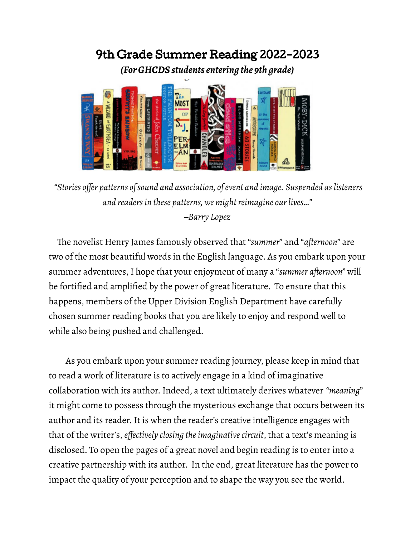## 9th Grade Summer Reading 2022-2023

*(For GHCDS students entering the 9th grade)*



*"Stories offer patterns ofsound and association, ofevent and image. Suspended aslisteners and readers in these patterns, we might reimagine our lives..." –Barry Lopez*

The novelist Henry James famously observed that "*summer*" and "*afternoon*" are two of the most beautiful words in the English language. As you embark upon your summer adventures,I hope that your enjoyment of many a "*summer afternoon"* will be fortified and amplified by the power of great literature. To ensure that this happens, members of the Upper Division English Department have carefully chosen summer reading books that you are likely to enjoy and respond well to while also being pushed and challenged.

As you embark upon your summer reading journey, please keep in mind that to read a work of literature is to actively engage in a kind of imaginative collaboration with its author.Indeed, a text ultimately derives whatever *"meaning*" it might come to possess through the mysterious exchange that occurs between its author and its reader. It is when the reader's creative intelligence engages with that of the writer's, *effectively closing theimaginativecircuit*, that a text's meaning is disclosed. To open the pages of a great novel and begin reading is to enter into a creative partnership with its author. In the end, great literature has the power to impact the quality of your perception and to shape the way you see the world.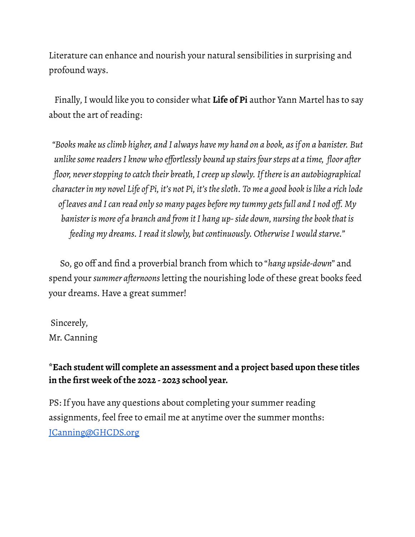Literature can enhance and nourish your natural sensibilities in surprising and profound ways.

Finally,I would like you to consider what **Life of Pi** author Yann Martel has to say about the art of reading:

*"Books make usclimb higher, and I always have my hand on a book, asif on a banister. But unlikesomereadersI know who effortlessly bound up stairsfoursteps at a time, floor after floor, neverstopping to catch their breath,Icreep up slowly.If thereis an autobiographical* character in my novel Life of Pi, it's not Pi, it's the sloth. To me a good book is like a rich lode *of leaves and Ican read only so many pages before my tummy getsfull and I nod off. My banisteris more of a branch and from itI hang up-side down, nursing the book that is feeding my dreams.Iread itslowly, butcontinuously. OtherwiseI would starve."*

So, go off and find a proverbial branch from which to "*hang upside-down*" and spend your *summer afternoons* letting the nourishing lode of these great books feed your dreams. Have a great summer!

Sincerely, Mr. Canning

## **\*Each student will complete an assessment and a project based upon these titles in the first week of the 2022 - 2023 school year.**

PS: If you have any questions about completing your summer reading assignments, feel free to email me at anytime over the summer months: [JCanning@GHCDS.org](mailto:JCanning@GHCDS.org)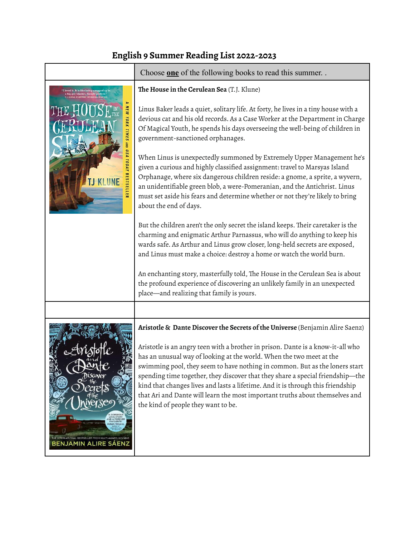## **English 9 Summer Reading List 2022-2023**